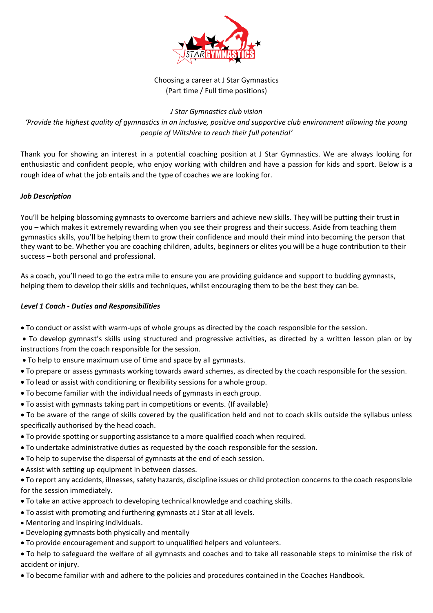

## Choosing a career at J Star Gymnastics (Part time / Full time positions)

*J Star Gymnastics club vision*

*'Provide the highest quality of gymnastics in an inclusive, positive and supportive club environment allowing the young people of Wiltshire to reach their full potential'*

Thank you for showing an interest in a potential coaching position at J Star Gymnastics. We are always looking for enthusiastic and confident people, who enjoy working with children and have a passion for kids and sport. Below is a rough idea of what the job entails and the type of coaches we are looking for.

## *Job Description*

You'll be helping blossoming gymnasts to overcome barriers and achieve new skills. They will be putting their trust in you – which makes it extremely rewarding when you see their progress and their success. Aside from teaching them gymnastics skills, you'll be helping them to grow their confidence and mould their mind into becoming the person that they want to be. Whether you are coaching children, adults, beginners or elites you will be a huge contribution to their success – both personal and professional.

As a coach, you'll need to go the extra mile to ensure you are providing guidance and support to budding gymnasts, helping them to develop their skills and techniques, whilst encouraging them to be the best they can be.

# *Level 1 Coach - Duties and Responsibilities*

- To conduct or assist with warm-ups of whole groups as directed by the coach responsible for the session.
- To develop gymnast's skills using structured and progressive activities, as directed by a written lesson plan or by instructions from the coach responsible for the session.
- To help to ensure maximum use of time and space by all gymnasts.
- To prepare or assess gymnasts working towards award schemes, as directed by the coach responsible for the session.
- To lead or assist with conditioning or flexibility sessions for a whole group.
- To become familiar with the individual needs of gymnasts in each group.
- To assist with gymnasts taking part in competitions or events. (If available)
- To be aware of the range of skills covered by the qualification held and not to coach skills outside the syllabus unless specifically authorised by the head coach.
- To provide spotting or supporting assistance to a more qualified coach when required.
- To undertake administrative duties as requested by the coach responsible for the session.
- To help to supervise the dispersal of gymnasts at the end of each session.
- Assist with setting up equipment in between classes.

 To report any accidents, illnesses, safety hazards, discipline issues or child protection concerns to the coach responsible for the session immediately.

- To take an active approach to developing technical knowledge and coaching skills.
- To assist with promoting and furthering gymnasts at J Star at all levels.
- Mentoring and inspiring individuals.
- Developing gymnasts both physically and mentally
- To provide encouragement and support to unqualified helpers and volunteers.
- To help to safeguard the welfare of all gymnasts and coaches and to take all reasonable steps to minimise the risk of accident or injury.
- To become familiar with and adhere to the policies and procedures contained in the Coaches Handbook.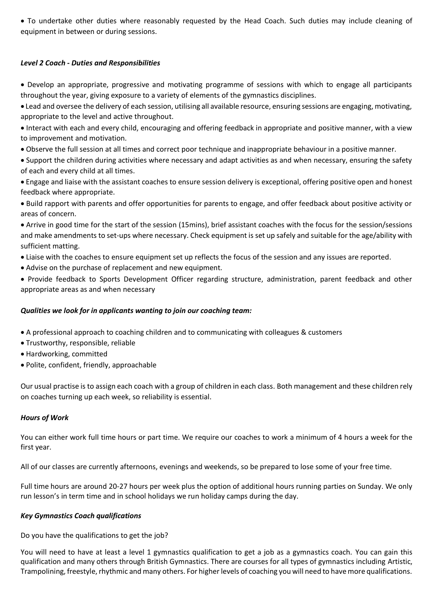To undertake other duties where reasonably requested by the Head Coach. Such duties may include cleaning of equipment in between or during sessions.

### *Level 2 Coach - Duties and Responsibilities*

 Develop an appropriate, progressive and motivating programme of sessions with which to engage all participants throughout the year, giving exposure to a variety of elements of the gymnastics disciplines.

 Lead and oversee the delivery of each session, utilising all available resource, ensuring sessions are engaging, motivating, appropriate to the level and active throughout.

 Interact with each and every child, encouraging and offering feedback in appropriate and positive manner, with a view to improvement and motivation.

Observe the full session at all times and correct poor technique and inappropriate behaviour in a positive manner.

 Support the children during activities where necessary and adapt activities as and when necessary, ensuring the safety of each and every child at all times.

 Engage and liaise with the assistant coaches to ensure session delivery is exceptional, offering positive open and honest feedback where appropriate.

 Build rapport with parents and offer opportunities for parents to engage, and offer feedback about positive activity or areas of concern.

 Arrive in good time for the start of the session (15mins), brief assistant coaches with the focus for the session/sessions and make amendments to set-ups where necessary. Check equipment is set up safely and suitable for the age/ability with sufficient matting.

Liaise with the coaches to ensure equipment set up reflects the focus of the session and any issues are reported.

Advise on the purchase of replacement and new equipment.

 Provide feedback to Sports Development Officer regarding structure, administration, parent feedback and other appropriate areas as and when necessary

## *Qualities we look for in applicants wanting to join our coaching team:*

- A professional approach to coaching children and to communicating with colleagues & customers
- Trustworthy, responsible, reliable
- Hardworking, committed
- Polite, confident, friendly, approachable

Our usual practise is to assign each coach with a group of children in each class. Both management and these children rely on coaches turning up each week, so reliability is essential.

## *Hours of Work*

You can either work full time hours or part time. We require our coaches to work a minimum of 4 hours a week for the first year.

All of our classes are currently afternoons, evenings and weekends, so be prepared to lose some of your free time.

Full time hours are around 20-27 hours per week plus the option of additional hours running parties on Sunday. We only run lesson's in term time and in school holidays we run holiday camps during the day.

### *Key Gymnastics Coach qualifications*

Do you have the qualifications to get the job?

You will need to have at least a level 1 gymnastics qualification to get a job as a gymnastics coach. You can gain this qualification and many others through British Gymnastics. There are courses for all types of gymnastics including Artistic, Trampolining, freestyle, rhythmic and many others. For higher levels of coaching you will need to have more qualifications.